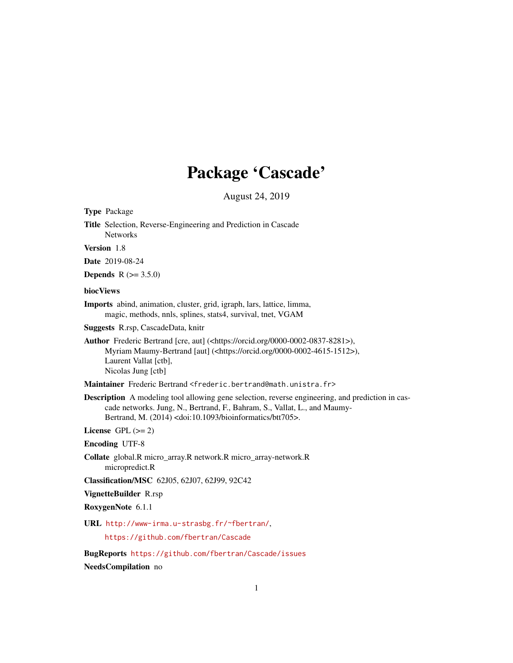## Package 'Cascade'

August 24, 2019

Type Package

Title Selection, Reverse-Engineering and Prediction in Cascade Networks

Version 1.8

Date 2019-08-24

**Depends** R  $(>= 3.5.0)$ 

#### biocViews

Imports abind, animation, cluster, grid, igraph, lars, lattice, limma, magic, methods, nnls, splines, stats4, survival, tnet, VGAM

Suggests R.rsp, CascadeData, knitr

Author Frederic Bertrand [cre, aut] (<https://orcid.org/0000-0002-0837-8281>), Myriam Maumy-Bertrand [aut] (<https://orcid.org/0000-0002-4615-1512>), Laurent Vallat [ctb], Nicolas Jung [ctb]

Maintainer Frederic Bertrand <frederic.bertrand@math.unistra.fr>

Description A modeling tool allowing gene selection, reverse engineering, and prediction in cascade networks. Jung, N., Bertrand, F., Bahram, S., Vallat, L., and Maumy-Bertrand, M. (2014) <doi:10.1093/bioinformatics/btt705>.

License GPL  $(>= 2)$ 

Encoding UTF-8

Collate global.R micro\_array.R network.R micro\_array-network.R micropredict.R

Classification/MSC 62J05, 62J07, 62J99, 92C42

VignetteBuilder R.rsp

RoxygenNote 6.1.1

URL <http://www-irma.u-strasbg.fr/~fbertran/>,

<https://github.com/fbertran/Cascade>

BugReports <https://github.com/fbertran/Cascade/issues>

NeedsCompilation no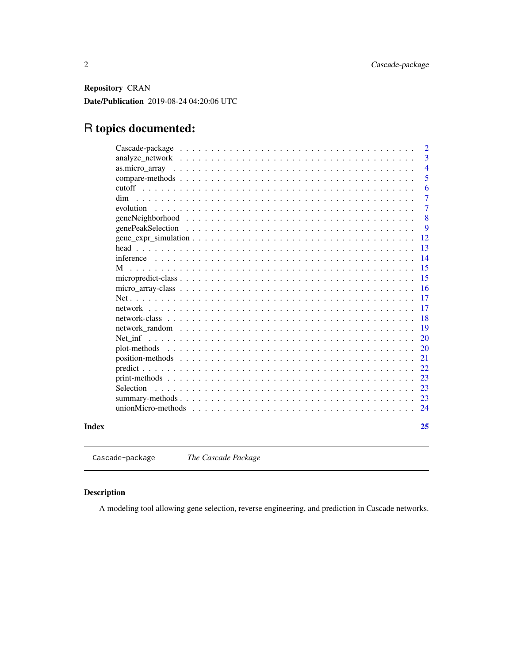<span id="page-1-0"></span>Repository CRAN

Date/Publication 2019-08-24 04:20:06 UTC

### R topics documented:

|       | $\overline{2}$                                                                                                                   |
|-------|----------------------------------------------------------------------------------------------------------------------------------|
|       | 3                                                                                                                                |
|       | $\overline{4}$                                                                                                                   |
|       | 5                                                                                                                                |
|       | 6                                                                                                                                |
|       | $\tau$<br>dim                                                                                                                    |
|       | 7<br>evolution                                                                                                                   |
|       | 8                                                                                                                                |
|       | 9                                                                                                                                |
|       | 12                                                                                                                               |
|       | 13                                                                                                                               |
|       | 14                                                                                                                               |
|       | 15<br>М                                                                                                                          |
|       | 15                                                                                                                               |
|       | 16<br>$micro\_array \cdot class \dots \dots \dots \dots \dots \dots \dots \dots \dots \dots \dots \dots \dots \dots \dots \dots$ |
|       | 17                                                                                                                               |
|       | 17                                                                                                                               |
|       | 18                                                                                                                               |
|       | 19                                                                                                                               |
|       | 20                                                                                                                               |
|       | 20                                                                                                                               |
|       | 21                                                                                                                               |
|       | 22                                                                                                                               |
|       | 23                                                                                                                               |
|       | 23<br>Selection                                                                                                                  |
|       | 23                                                                                                                               |
|       | 24                                                                                                                               |
|       |                                                                                                                                  |
| Index | 25                                                                                                                               |
|       |                                                                                                                                  |
|       |                                                                                                                                  |

Cascade-package *The Cascade Package*

#### Description

A modeling tool allowing gene selection, reverse engineering, and prediction in Cascade networks.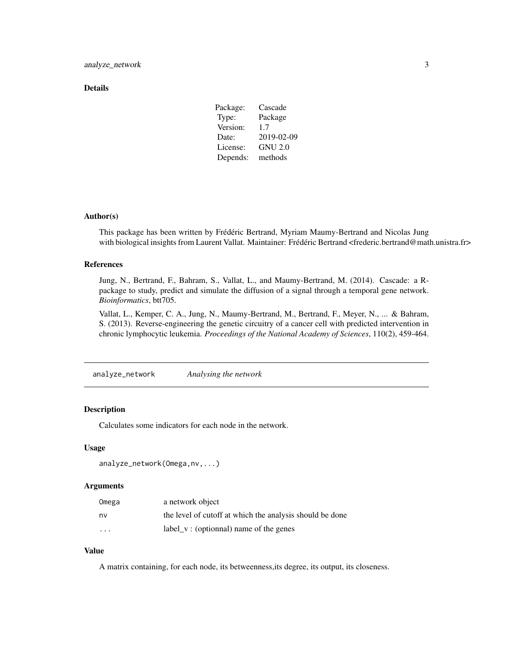#### <span id="page-2-0"></span>Details

| Package: | Cascade        |  |
|----------|----------------|--|
| Type:    | Package        |  |
| Version: | 1.7            |  |
| Date:    | 2019-02-09     |  |
| License: | <b>GNU 2.0</b> |  |
| Depends: | methods        |  |

#### Author(s)

This package has been written by Frédéric Bertrand, Myriam Maumy-Bertrand and Nicolas Jung with biological insights from Laurent Vallat. Maintainer: Frédéric Bertrand <frederic.bertrand@math.unistra.fr>

#### References

Jung, N., Bertrand, F., Bahram, S., Vallat, L., and Maumy-Bertrand, M. (2014). Cascade: a Rpackage to study, predict and simulate the diffusion of a signal through a temporal gene network. *Bioinformatics*, btt705.

Vallat, L., Kemper, C. A., Jung, N., Maumy-Bertrand, M., Bertrand, F., Meyer, N., ... & Bahram, S. (2013). Reverse-engineering the genetic circuitry of a cancer cell with predicted intervention in chronic lymphocytic leukemia. *Proceedings of the National Academy of Sciences*, 110(2), 459-464.

analyze\_network *Analysing the network*

#### Description

Calculates some indicators for each node in the network.

#### Usage

```
analyze_network(Omega,nv,...)
```
#### Arguments

| Omega    | a network object                                         |
|----------|----------------------------------------------------------|
| nv       | the level of cutoff at which the analysis should be done |
| $\cdots$ | label_v: (optionnal) name of the genes                   |

#### Value

A matrix containing, for each node, its betweenness,its degree, its output, its closeness.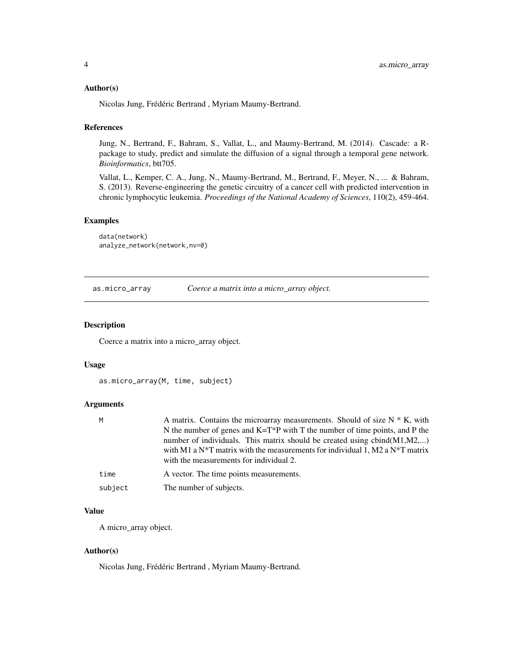#### <span id="page-3-0"></span>Author(s)

Nicolas Jung, Frédéric Bertrand , Myriam Maumy-Bertrand.

#### References

Jung, N., Bertrand, F., Bahram, S., Vallat, L., and Maumy-Bertrand, M. (2014). Cascade: a Rpackage to study, predict and simulate the diffusion of a signal through a temporal gene network. *Bioinformatics*, btt705.

Vallat, L., Kemper, C. A., Jung, N., Maumy-Bertrand, M., Bertrand, F., Meyer, N., ... & Bahram, S. (2013). Reverse-engineering the genetic circuitry of a cancer cell with predicted intervention in chronic lymphocytic leukemia. *Proceedings of the National Academy of Sciences*, 110(2), 459-464.

#### Examples

```
data(network)
analyze_network(network,nv=0)
```
as.micro\_array *Coerce a matrix into a micro\_array object.*

#### Description

Coerce a matrix into a micro\_array object.

#### Usage

```
as.micro_array(M, time, subject)
```
#### Arguments

| M    | A matrix. Contains the microarray measurements. Should of size $N * K$ , with                          |
|------|--------------------------------------------------------------------------------------------------------|
|      | N the number of genes and $K=T^*P$ with T the number of time points, and P the                         |
|      | number of individuals. This matrix should be created using $cbind(M1,M2,)$                             |
|      | with M1 a N <sup>*</sup> T matrix with the measurements for individual 1, M2 a N <sup>*</sup> T matrix |
|      | with the measurements for individual 2.                                                                |
| time | A vector. The time points measurements.                                                                |
|      |                                                                                                        |

subject The number of subjects.

#### Value

A micro\_array object.

#### Author(s)

Nicolas Jung, Frédéric Bertrand , Myriam Maumy-Bertrand.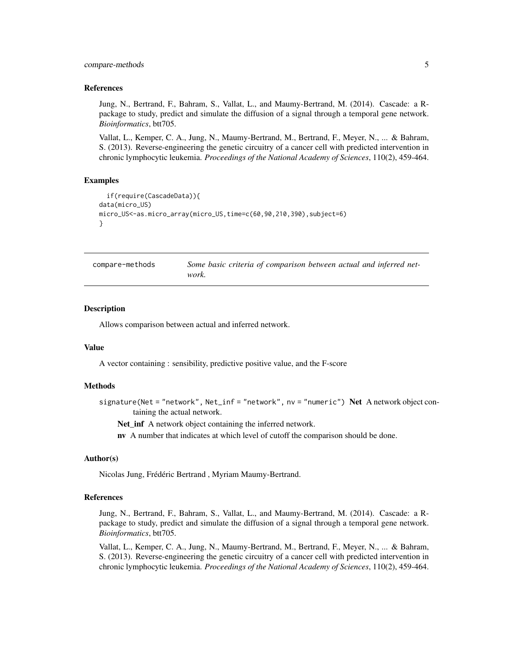#### <span id="page-4-0"></span>compare-methods 5

#### References

Jung, N., Bertrand, F., Bahram, S., Vallat, L., and Maumy-Bertrand, M. (2014). Cascade: a Rpackage to study, predict and simulate the diffusion of a signal through a temporal gene network. *Bioinformatics*, btt705.

Vallat, L., Kemper, C. A., Jung, N., Maumy-Bertrand, M., Bertrand, F., Meyer, N., ... & Bahram, S. (2013). Reverse-engineering the genetic circuitry of a cancer cell with predicted intervention in chronic lymphocytic leukemia. *Proceedings of the National Academy of Sciences*, 110(2), 459-464.

#### Examples

```
if(require(CascadeData)){
data(micro_US)
micro_US<-as.micro_array(micro_US,time=c(60,90,210,390),subject=6)
}
```

| compare-methods | Some basic criteria of comparison between actual and inferred net- |
|-----------------|--------------------------------------------------------------------|
|                 | work.                                                              |

#### Description

Allows comparison between actual and inferred network.

#### Value

A vector containing : sensibility, predictive positive value, and the F-score

#### Methods

signature(Net = "network", Net\_inf = "network", nv = "numeric") Net A network object containing the actual network.

Net\_inf A network object containing the inferred network.

nv A number that indicates at which level of cutoff the comparison should be done.

#### Author(s)

Nicolas Jung, Frédéric Bertrand , Myriam Maumy-Bertrand.

#### References

Jung, N., Bertrand, F., Bahram, S., Vallat, L., and Maumy-Bertrand, M. (2014). Cascade: a Rpackage to study, predict and simulate the diffusion of a signal through a temporal gene network. *Bioinformatics*, btt705.

Vallat, L., Kemper, C. A., Jung, N., Maumy-Bertrand, M., Bertrand, F., Meyer, N., ... & Bahram, S. (2013). Reverse-engineering the genetic circuitry of a cancer cell with predicted intervention in chronic lymphocytic leukemia. *Proceedings of the National Academy of Sciences*, 110(2), 459-464.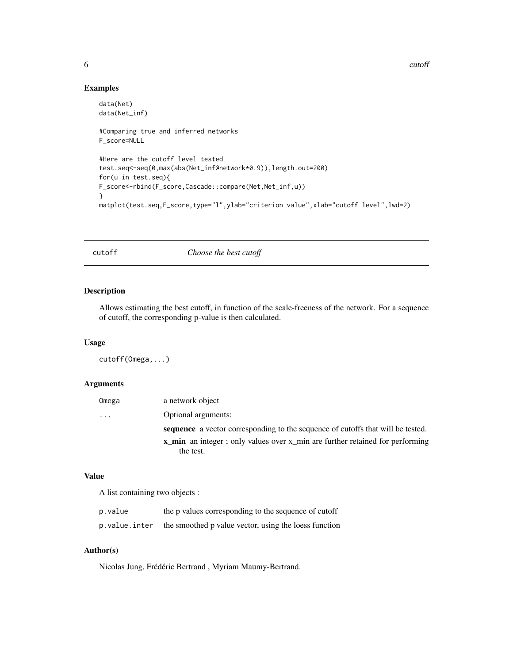6 cutoff contract to the cutoff cutoff cutoff cutoff cutoff cutoff cutoff cutoff cutoff cutoff cutoff cutoff cutoff cutoff cutoff cutoff cutoff cutoff cutoff cutoff cutoff cutoff cutoff cutoff cutoff cutoff cutoff cutoff c

#### Examples

```
data(Net)
data(Net_inf)
#Comparing true and inferred networks
F_score=NULL
#Here are the cutoff level tested
test.seq<-seq(0,max(abs(Net_inf@network*0.9)),length.out=200)
for(u in test.seq){
F_score<-rbind(F_score,Cascade::compare(Net,Net_inf,u))
}
matplot(test.seq,F_score,type="l",ylab="criterion value",xlab="cutoff level",lwd=2)
```
cutoff *Choose the best cutoff*

#### Description

Allows estimating the best cutoff, in function of the scale-freeness of the network. For a sequence of cutoff, the corresponding p-value is then calculated.

#### Usage

cutoff(Omega,...)

#### Arguments

| Omega | a network object                                                                    |
|-------|-------------------------------------------------------------------------------------|
| .     | Optional arguments:                                                                 |
|       | sequence a vector corresponding to the sequence of cutoffs that will be tested.     |
|       | <b>x</b> min an integer; only values over x min are further retained for performing |
|       | the test.                                                                           |

#### Value

A list containing two objects :

| p.value       | the p values corresponding to the sequence of cutoff  |
|---------------|-------------------------------------------------------|
| p.value.inter | the smoothed p value vector, using the loess function |

#### Author(s)

Nicolas Jung, Frédéric Bertrand , Myriam Maumy-Bertrand.

<span id="page-5-0"></span>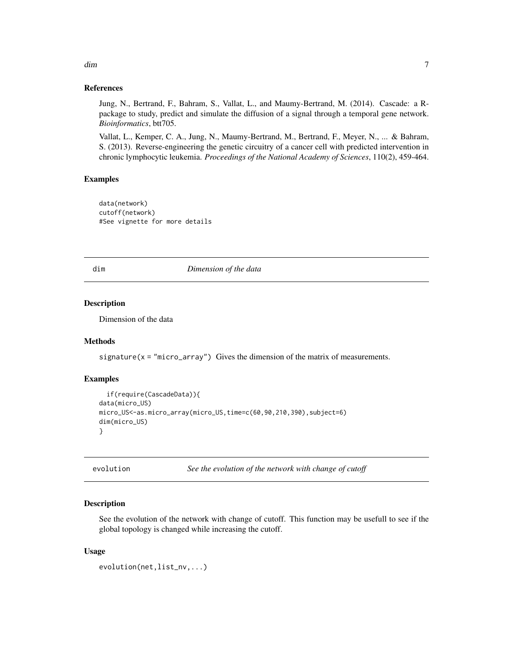#### References

Jung, N., Bertrand, F., Bahram, S., Vallat, L., and Maumy-Bertrand, M. (2014). Cascade: a Rpackage to study, predict and simulate the diffusion of a signal through a temporal gene network. *Bioinformatics*, btt705.

Vallat, L., Kemper, C. A., Jung, N., Maumy-Bertrand, M., Bertrand, F., Meyer, N., ... & Bahram, S. (2013). Reverse-engineering the genetic circuitry of a cancer cell with predicted intervention in chronic lymphocytic leukemia. *Proceedings of the National Academy of Sciences*, 110(2), 459-464.

#### Examples

```
data(network)
cutoff(network)
#See vignette for more details
```
dim *Dimension of the data*

#### Description

Dimension of the data

#### Methods

signature( $x = "micro_array")$  Gives the dimension of the matrix of measurements.

#### Examples

```
if(require(CascadeData)){
data(micro_US)
micro_US<-as.micro_array(micro_US,time=c(60,90,210,390),subject=6)
dim(micro_US)
}
```
evolution *See the evolution of the network with change of cutoff*

#### **Description**

See the evolution of the network with change of cutoff. This function may be usefull to see if the global topology is changed while increasing the cutoff.

#### Usage

```
evolution(net,list_nv,...)
```
<span id="page-6-0"></span>dim and the contract of the contract of the contract of the contract of the contract of the contract of the contract of the contract of the contract of the contract of the contract of the contract of the contract of the co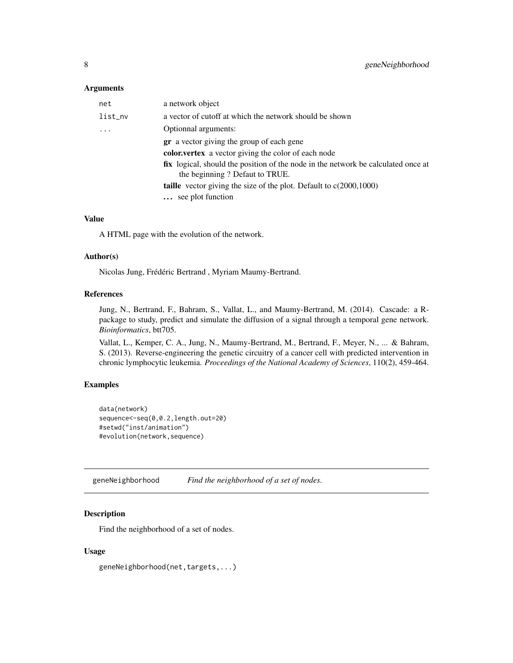#### <span id="page-7-0"></span>Arguments

| net      | a network object                                                                                                           |
|----------|----------------------------------------------------------------------------------------------------------------------------|
| list_nv  | a vector of cutoff at which the network should be shown                                                                    |
| $\ddots$ | Optionnal arguments:                                                                                                       |
|          | <b>gr</b> a vector giving the group of each gene                                                                           |
|          | <b>color, vertex</b> a vector giving the color of each node                                                                |
|          | <b>fix</b> logical, should the position of the node in the network be calculated once at<br>the beginning? Defaut to TRUE. |
|          | <b>taille</b> vector giving the size of the plot. Default to $c(2000,1000)$                                                |
|          | see plot function                                                                                                          |
|          |                                                                                                                            |

#### Value

A HTML page with the evolution of the network.

#### Author(s)

Nicolas Jung, Frédéric Bertrand , Myriam Maumy-Bertrand.

#### References

Jung, N., Bertrand, F., Bahram, S., Vallat, L., and Maumy-Bertrand, M. (2014). Cascade: a Rpackage to study, predict and simulate the diffusion of a signal through a temporal gene network. *Bioinformatics*, btt705.

Vallat, L., Kemper, C. A., Jung, N., Maumy-Bertrand, M., Bertrand, F., Meyer, N., ... & Bahram, S. (2013). Reverse-engineering the genetic circuitry of a cancer cell with predicted intervention in chronic lymphocytic leukemia. *Proceedings of the National Academy of Sciences*, 110(2), 459-464.

#### Examples

```
data(network)
sequence<-seq(0,0.2,length.out=20)
#setwd("inst/animation")
#evolution(network,sequence)
```
geneNeighborhood *Find the neighborhood of a set of nodes.*

#### Description

Find the neighborhood of a set of nodes.

#### Usage

geneNeighborhood(net,targets,...)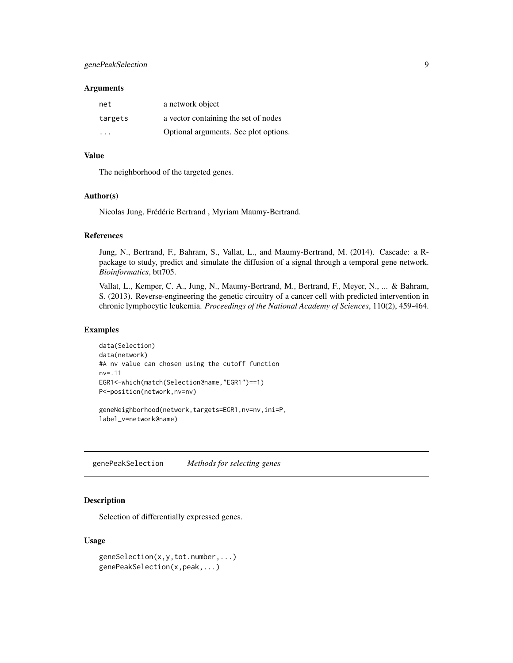#### <span id="page-8-0"></span>genePeakSelection 9

#### Arguments

| net     | a network object                      |
|---------|---------------------------------------|
| targets | a vector containing the set of nodes  |
| .       | Optional arguments. See plot options. |

#### Value

The neighborhood of the targeted genes.

#### Author(s)

Nicolas Jung, Frédéric Bertrand , Myriam Maumy-Bertrand.

#### References

Jung, N., Bertrand, F., Bahram, S., Vallat, L., and Maumy-Bertrand, M. (2014). Cascade: a Rpackage to study, predict and simulate the diffusion of a signal through a temporal gene network. *Bioinformatics*, btt705.

Vallat, L., Kemper, C. A., Jung, N., Maumy-Bertrand, M., Bertrand, F., Meyer, N., ... & Bahram, S. (2013). Reverse-engineering the genetic circuitry of a cancer cell with predicted intervention in chronic lymphocytic leukemia. *Proceedings of the National Academy of Sciences*, 110(2), 459-464.

#### Examples

```
data(Selection)
data(network)
#A nv value can chosen using the cutoff function
nv=.11
EGR1<-which(match(Selection@name,"EGR1")==1)
P<-position(network,nv=nv)
```
geneNeighborhood(network,targets=EGR1,nv=nv,ini=P, label\_v=network@name)

genePeakSelection *Methods for selecting genes*

#### Description

Selection of differentially expressed genes.

#### Usage

```
geneSelection(x,y,tot.number,...)
genePeakSelection(x,peak,...)
```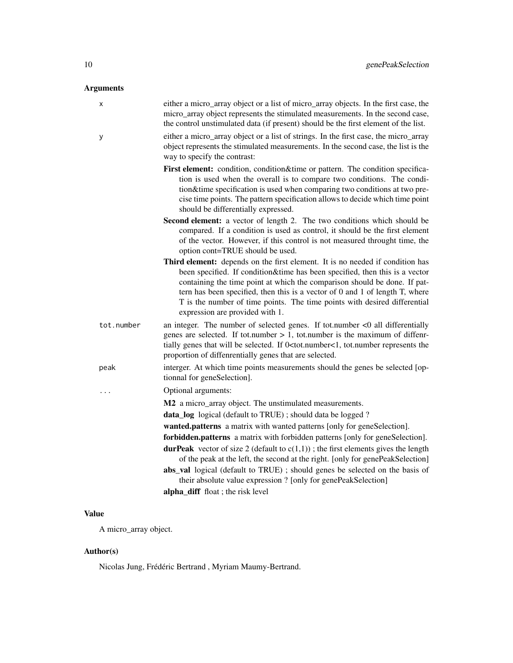#### Arguments

| X          | either a micro_array object or a list of micro_array objects. In the first case, the<br>micro_array object represents the stimulated measurements. In the second case,<br>the control unstimulated data (if present) should be the first element of the list.                                                                                                                                                                                    |
|------------|--------------------------------------------------------------------------------------------------------------------------------------------------------------------------------------------------------------------------------------------------------------------------------------------------------------------------------------------------------------------------------------------------------------------------------------------------|
| у          | either a micro_array object or a list of strings. In the first case, the micro_array<br>object represents the stimulated measurements. In the second case, the list is the<br>way to specify the contrast:                                                                                                                                                                                                                                       |
|            | First element: condition, condition&time or pattern. The condition specifica-<br>tion is used when the overall is to compare two conditions. The condi-<br>tion&time specification is used when comparing two conditions at two pre-<br>cise time points. The pattern specification allows to decide which time point<br>should be differentially expressed.                                                                                     |
|            | Second element: a vector of length 2. The two conditions which should be<br>compared. If a condition is used as control, it should be the first element<br>of the vector. However, if this control is not measured throught time, the<br>option cont=TRUE should be used.                                                                                                                                                                        |
|            | Third element: depends on the first element. It is no needed if condition has<br>been specified. If condition&time has been specified, then this is a vector<br>containing the time point at which the comparison should be done. If pat-<br>tern has been specified, then this is a vector of $0$ and $1$ of length $T$ , where<br>T is the number of time points. The time points with desired differential<br>expression are provided with 1. |
| tot.number | an integer. The number of selected genes. If tot.number $<$ 0 all differentially<br>genes are selected. If tot.number $> 1$ , tot.number is the maximum of diffenr-<br>tially genes that will be selected. If 0 <tot.number<1, represents="" the<br="" tot.number="">proportion of diffenrentially genes that are selected.</tot.number<1,>                                                                                                      |
| peak       | interger. At which time points measurements should the genes be selected [op-<br>tionnal for geneSelection].                                                                                                                                                                                                                                                                                                                                     |
| .          | Optional arguments:                                                                                                                                                                                                                                                                                                                                                                                                                              |
|            | M2 a micro_array object. The unstimulated measurements.                                                                                                                                                                                                                                                                                                                                                                                          |
|            | data_log logical (default to TRUE); should data be logged?                                                                                                                                                                                                                                                                                                                                                                                       |
|            | wanted.patterns a matrix with wanted patterns [only for geneSelection].                                                                                                                                                                                                                                                                                                                                                                          |
|            | forbidden.patterns a matrix with forbidden patterns [only for geneSelection].                                                                                                                                                                                                                                                                                                                                                                    |
|            | <b>durPeak</b> vector of size 2 (default to $c(1,1)$ ); the first elements gives the length<br>of the peak at the left, the second at the right. [only for genePeakSelection]                                                                                                                                                                                                                                                                    |
|            | abs_val logical (default to TRUE); should genes be selected on the basis of<br>their absolute value expression ? [only for genePeakSelection]                                                                                                                                                                                                                                                                                                    |
|            | alpha_diff float; the risk level                                                                                                                                                                                                                                                                                                                                                                                                                 |

#### Value

A micro\_array object.

#### Author(s)

Nicolas Jung, Frédéric Bertrand , Myriam Maumy-Bertrand.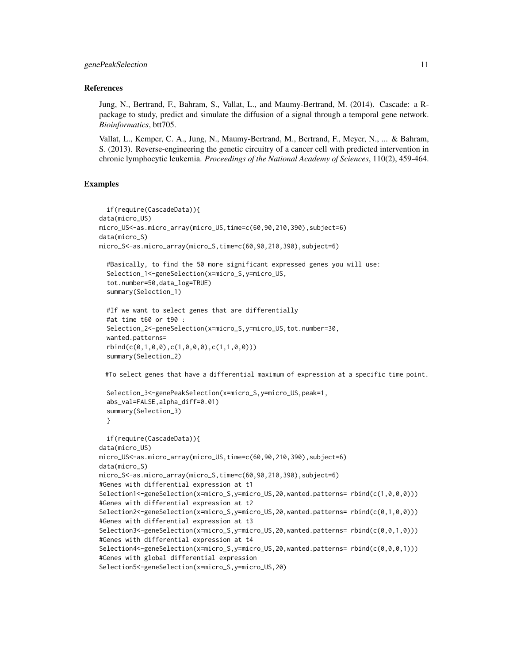#### References

Jung, N., Bertrand, F., Bahram, S., Vallat, L., and Maumy-Bertrand, M. (2014). Cascade: a Rpackage to study, predict and simulate the diffusion of a signal through a temporal gene network. *Bioinformatics*, btt705.

Vallat, L., Kemper, C. A., Jung, N., Maumy-Bertrand, M., Bertrand, F., Meyer, N., ... & Bahram, S. (2013). Reverse-engineering the genetic circuitry of a cancer cell with predicted intervention in chronic lymphocytic leukemia. *Proceedings of the National Academy of Sciences*, 110(2), 459-464.

#### Examples

```
if(require(CascadeData)){
data(micro_US)
micro_US<-as.micro_array(micro_US,time=c(60,90,210,390),subject=6)
data(micro_S)
micro_S<-as.micro_array(micro_S,time=c(60,90,210,390),subject=6)
  #Basically, to find the 50 more significant expressed genes you will use:
 Selection_1<-geneSelection(x=micro_S,y=micro_US,
  tot.number=50,data_log=TRUE)
 summary(Selection_1)
 #If we want to select genes that are differentially
 #at time t60 or t90 :
 Selection_2<-geneSelection(x=micro_S,y=micro_US,tot.number=30,
 wanted.patterns=
 rbind(c(0,1,0,0),c(1,0,0,0),c(1,1,0,0)))
 summary(Selection_2)
```
#To select genes that have a differential maximum of expression at a specific time point.

```
Selection_3<-genePeakSelection(x=micro_S,y=micro_US,peak=1,
abs_val=FALSE,alpha_diff=0.01)
summary(Selection_3)
}
```

```
if(require(CascadeData)){
data(micro_US)
micro_US<-as.micro_array(micro_US,time=c(60,90,210,390),subject=6)
data(micro_S)
micro_S<-as.micro_array(micro_S,time=c(60,90,210,390),subject=6)
#Genes with differential expression at t1
Selection1<-geneSelection(x=micro_S,y=micro_US,20,wanted.patterns= rbind(c(1,0,0,0)))
#Genes with differential expression at t2
Selection2<-geneSelection(x=micro_S,y=micro_US,20,wanted.patterns= rbind(c(0,1,0,0)))
#Genes with differential expression at t3
Selection3<-geneSelection(x=micro_S,y=micro_US,20,wanted.patterns= rbind(c(0,0,1,0)))
#Genes with differential expression at t4
Selection4<-geneSelection(x=micro_S,y=micro_US,20,wanted.patterns= rbind(c(0,0,0,1)))
#Genes with global differential expression
Selection5<-geneSelection(x=micro_S,y=micro_US,20)
```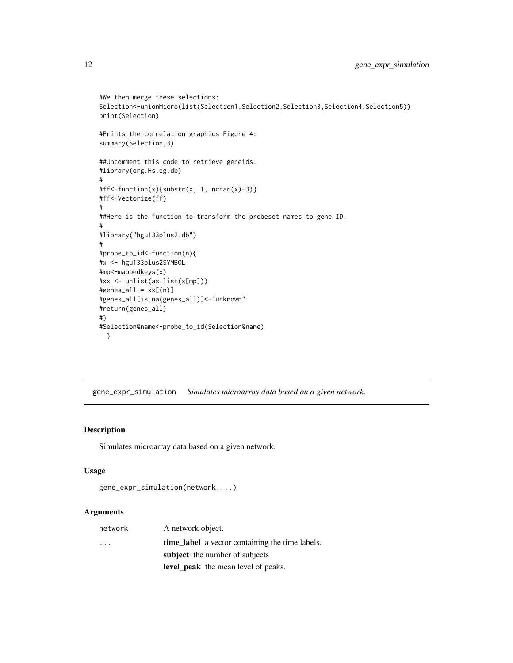```
#We then merge these selections:
Selection<-unionMicro(list(Selection1,Selection2,Selection3,Selection4,Selection5))
print(Selection)
#Prints the correlation graphics Figure 4:
summary(Selection,3)
##Uncomment this code to retrieve geneids.
#library(org.Hs.eg.db)
#
#ff<-function(x){substr(x, 1, nchar(x)-3)}
#ff<-Vectorize(ff)
#
##Here is the function to transform the probeset names to gene ID.
#
#library("hgu133plus2.db")
#
#probe_to_id<-function(n){
#x <- hgu133plus2SYMBOL
#mp<-mappedkeys(x)
#xx <- unlist(as.list(x[mp]))
#genes\_all = xx[(n)]#genes_all[is.na(genes_all)]<-"unknown"
#return(genes_all)
#}
#Selection@name<-probe_to_id(Selection@name)
 }
```
gene\_expr\_simulation *Simulates microarray data based on a given network.*

#### Description

Simulates microarray data based on a given network.

#### Usage

```
gene_expr_simulation(network,...)
```
#### Arguments

| network                 | A network object.                                      |
|-------------------------|--------------------------------------------------------|
| $\cdot$ $\cdot$ $\cdot$ | <b>time_label</b> a vector containing the time labels. |
|                         | subject the number of subjects                         |
|                         | <b>level_peak</b> the mean level of peaks.             |

<span id="page-11-0"></span>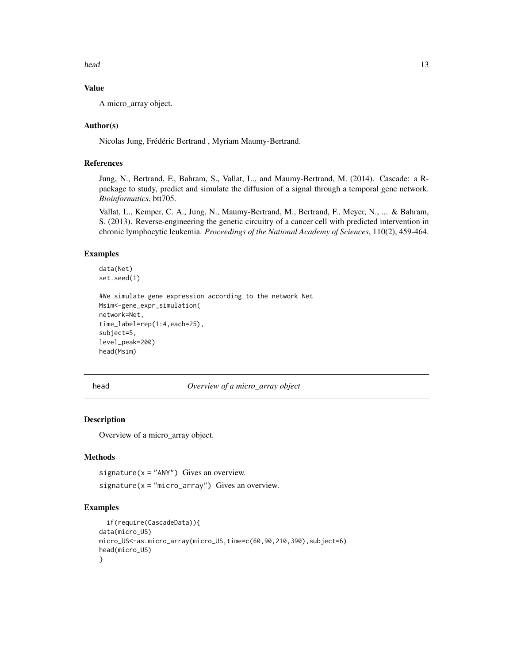<span id="page-12-0"></span>head 13

#### Value

A micro\_array object.

#### Author(s)

Nicolas Jung, Frédéric Bertrand , Myriam Maumy-Bertrand.

#### References

Jung, N., Bertrand, F., Bahram, S., Vallat, L., and Maumy-Bertrand, M. (2014). Cascade: a Rpackage to study, predict and simulate the diffusion of a signal through a temporal gene network. *Bioinformatics*, btt705.

Vallat, L., Kemper, C. A., Jung, N., Maumy-Bertrand, M., Bertrand, F., Meyer, N., ... & Bahram, S. (2013). Reverse-engineering the genetic circuitry of a cancer cell with predicted intervention in chronic lymphocytic leukemia. *Proceedings of the National Academy of Sciences*, 110(2), 459-464.

#### Examples

data(Net) set.seed(1)

```
#We simulate gene expression according to the network Net
Msim<-gene_expr_simulation(
network=Net,
time_label=rep(1:4,each=25),
subject=5,
level_peak=200)
head(Msim)
```
head *Overview of a micro\_array object*

#### Description

Overview of a micro\_array object.

#### Methods

 $signature(x = "ANY")$  Gives an overview.  $signature(x = "micro_array")$  Gives an overview.

#### Examples

```
if(require(CascadeData)){
data(micro_US)
micro_US<-as.micro_array(micro_US,time=c(60,90,210,390),subject=6)
head(micro_US)
}
```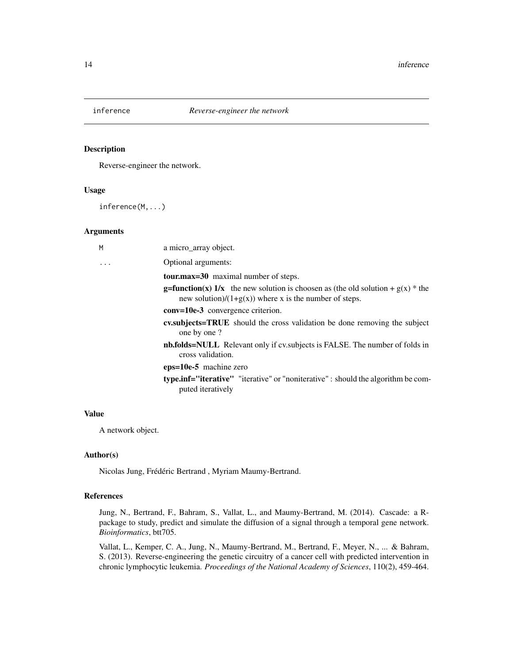<span id="page-13-0"></span>

#### Description

Reverse-engineer the network.

#### Usage

inference(M,...)

#### Arguments

| M | a micro_array object.                                                                                                                                 |
|---|-------------------------------------------------------------------------------------------------------------------------------------------------------|
| . | Optional arguments:                                                                                                                                   |
|   | <b>tour.max=30</b> maximal number of steps.                                                                                                           |
|   | <b>g=function(x)</b> 1/x the new solution is choosen as (the old solution + $g(x)$ * the<br>new solution)/ $(1+g(x))$ where x is the number of steps. |
|   | $conv=10e-3$ convergence criterion.                                                                                                                   |
|   | <b>cv.subjects=TRUE</b> should the cross validation be done removing the subject<br>one by one ?                                                      |
|   | <b>nb.folds=NULL</b> Relevant only if cv. subjects is FALSE. The number of folds in<br>cross validation.                                              |
|   | $eps=10e-5$ machine zero                                                                                                                              |
|   | type.inf="iterative" "iterative" or "noniterative": should the algorithm be com-<br>puted iteratively                                                 |
|   |                                                                                                                                                       |

#### Value

A network object.

#### Author(s)

Nicolas Jung, Frédéric Bertrand , Myriam Maumy-Bertrand.

#### References

Jung, N., Bertrand, F., Bahram, S., Vallat, L., and Maumy-Bertrand, M. (2014). Cascade: a Rpackage to study, predict and simulate the diffusion of a signal through a temporal gene network. *Bioinformatics*, btt705.

Vallat, L., Kemper, C. A., Jung, N., Maumy-Bertrand, M., Bertrand, F., Meyer, N., ... & Bahram, S. (2013). Reverse-engineering the genetic circuitry of a cancer cell with predicted intervention in chronic lymphocytic leukemia. *Proceedings of the National Academy of Sciences*, 110(2), 459-464.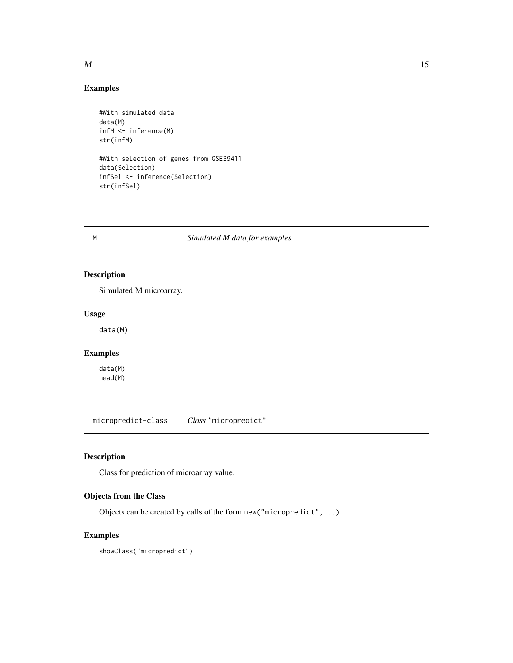#### Examples

```
#With simulated data
data(M)
infM <- inference(M)
str(infM)
#With selection of genes from GSE39411
data(Selection)
infSel <- inference(Selection)
str(infSel)
```
M *Simulated M data for examples.*

#### Description

Simulated M microarray.

#### Usage

data(M)

#### Examples

data(M) head(M)

micropredict-class *Class* "micropredict"

#### Description

Class for prediction of microarray value.

#### Objects from the Class

Objects can be created by calls of the form new("micropredict",...).

#### Examples

showClass("micropredict")

<span id="page-14-0"></span> $M$  15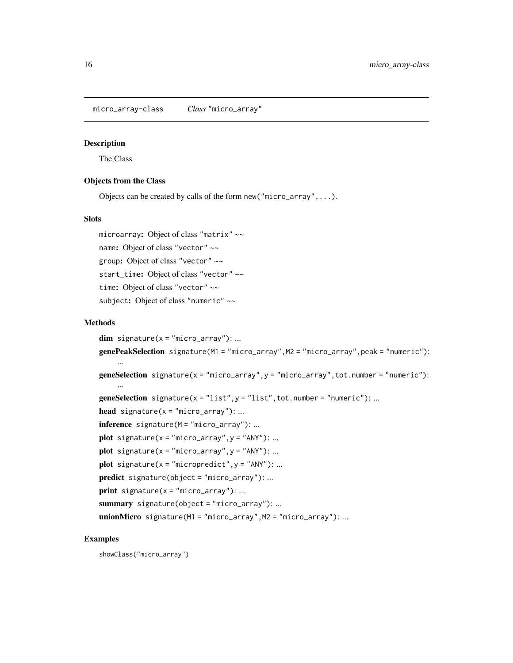<span id="page-15-0"></span>micro\_array-class *Class* "micro\_array"

#### Description

The Class

#### Objects from the Class

Objects can be created by calls of the form new("micro\_array",...).

#### Slots

microarray: Object of class "matrix" ~~ name: Object of class "vector" ~~ group: Object of class "vector" ~~ start\_time: Object of class "vector" ~~ time: Object of class "vector" ~~ subject: Object of class "numeric" ~~

#### Methods

```
dim signature(x = "micro_array"): ...
genePeakSelection signature(M1 = "micro_array",M2 = "micro_array",peak = "numeric"):
     ...
geneSelection signature(x = "micro_array",y = "micro_array",tot.number = "numeric"):
     ...
geneSelection signature(x = "list", y = "list", tot.number = "numeric"); ...head signature(x = "micro_array"): ...
inference signature(M = "micro_array"): ...
plot signature(x = "micro\_array", y = "ANY"); ...plot signature(x = "micro\_array", y = "ANY"); ...plot signature(x = "micropredict", y = "ANY"); ...predict signature(object = "micro_array"): ...
print signature(x = "micro_array"): ...
summary signature(object = "micro_array"): ...
unionMicro signature(M1 = "micro_array", M2 = "micro_array"): ...
```
#### Examples

showClass("micro\_array")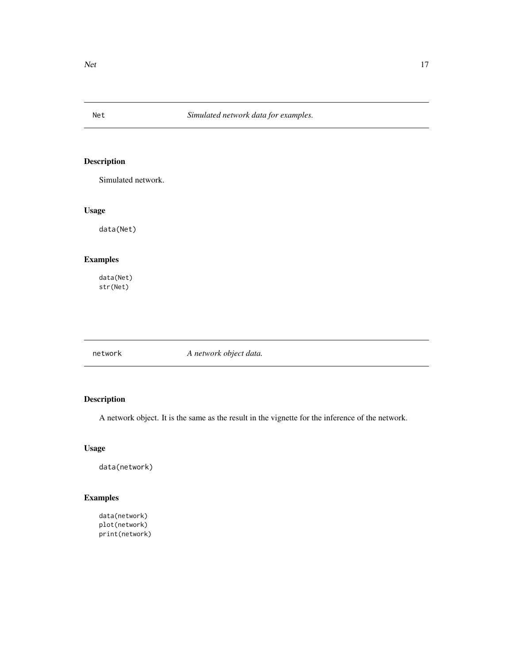<span id="page-16-0"></span>

### Description

Simulated network.

#### Usage

data(Net)

#### Examples

data(Net) str(Net)

| A network object data.<br>network |
|-----------------------------------|
|-----------------------------------|

#### Description

A network object. It is the same as the result in the vignette for the inference of the network.

#### Usage

data(network)

### Examples

```
data(network)
plot(network)
print(network)
```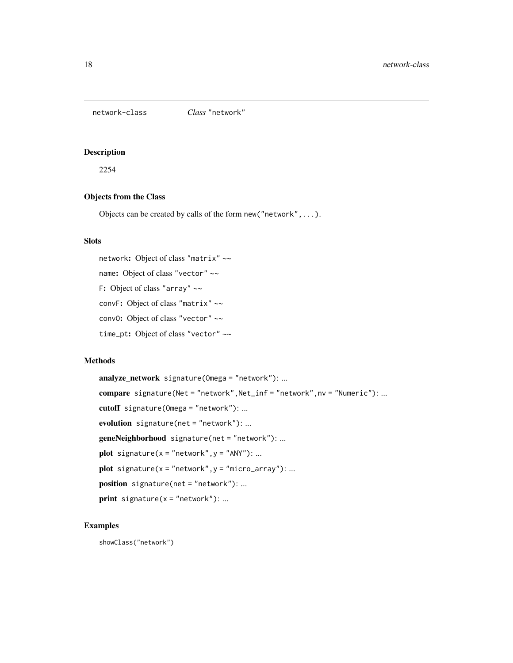<span id="page-17-0"></span>network-class *Class* "network"

#### Description

2254

#### Objects from the Class

Objects can be created by calls of the form new("network",...).

#### **Slots**

network: Object of class "matrix" ~~ name: Object of class "vector" ~~ F: Object of class "array" ~~ convF: Object of class "matrix" ~~ conv0: Object of class "vector" ~~ time\_pt: Object of class "vector" ~~

#### Methods

```
analyze_network signature(Omega = "network"): ...
compare signature(Net = "network", Net_inf = "network", nv = "Numeric"): ...
cutoff signature(Omega = "network"): ...
evolution signature(net = "network"): ...
geneNeighborhood signature(net = "network"): ...
plot signature(x ="network",y ="ANY"): ...
plot signature(x = "network", y = "micro_array"): ...
position signature(net = "network"): ...
print signature(x = "network"): ...
```
#### Examples

showClass("network")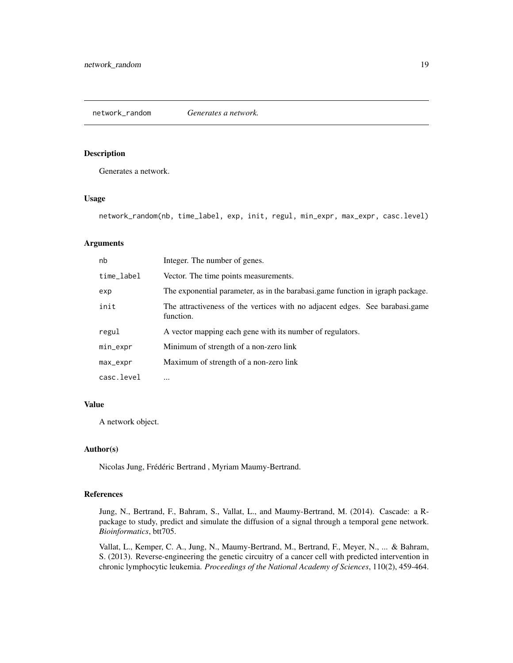#### <span id="page-18-0"></span>Description

Generates a network.

#### Usage

network\_random(nb, time\_label, exp, init, regul, min\_expr, max\_expr, casc.level)

#### Arguments

| nb         | Integer. The number of genes.                                                             |
|------------|-------------------------------------------------------------------------------------------|
| time_label | Vector. The time points measurements.                                                     |
| exp        | The exponential parameter, as in the barabasi.game function in igraph package.            |
| init       | The attractiveness of the vertices with no adjacent edges. See barabasi.game<br>function. |
| regul      | A vector mapping each gene with its number of regulators.                                 |
| min_expr   | Minimum of strength of a non-zero link                                                    |
| max_expr   | Maximum of strength of a non-zero link                                                    |
| casc.level | $\cdots$                                                                                  |

#### Value

A network object.

#### Author(s)

Nicolas Jung, Frédéric Bertrand , Myriam Maumy-Bertrand.

#### References

Jung, N., Bertrand, F., Bahram, S., Vallat, L., and Maumy-Bertrand, M. (2014). Cascade: a Rpackage to study, predict and simulate the diffusion of a signal through a temporal gene network. *Bioinformatics*, btt705.

Vallat, L., Kemper, C. A., Jung, N., Maumy-Bertrand, M., Bertrand, F., Meyer, N., ... & Bahram, S. (2013). Reverse-engineering the genetic circuitry of a cancer cell with predicted intervention in chronic lymphocytic leukemia. *Proceedings of the National Academy of Sciences*, 110(2), 459-464.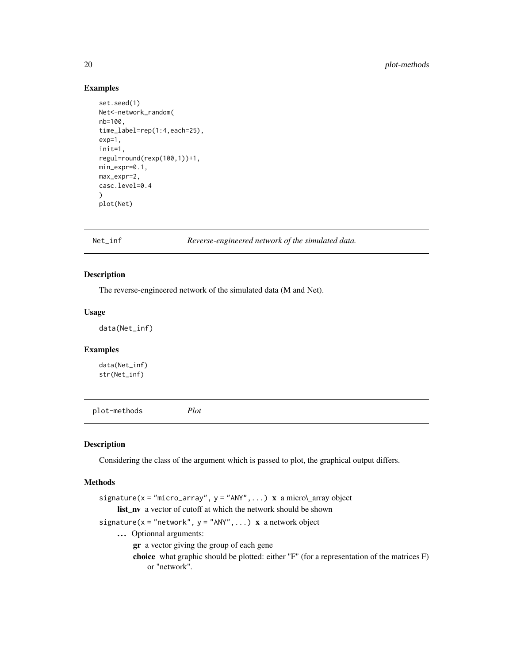#### Examples

```
set.seed(1)
Net<-network_random(
nb=100,
time_label=rep(1:4,each=25),
exp=1,
init=1,
regul=round(rexp(100,1))+1,
min_expr=0.1,
max_expr=2,
casc.level=0.4
)
plot(Net)
```
Net\_inf *Reverse-engineered network of the simulated data.*

#### Description

The reverse-engineered network of the simulated data (M and Net).

#### Usage

data(Net\_inf)

#### Examples

data(Net\_inf) str(Net\_inf)

plot-methods *Plot*

#### Description

Considering the class of the argument which is passed to plot, the graphical output differs.

#### Methods

```
signature(x = "micro_array", y = "ANY", ...) x a micro\_array object
     list_nv a vector of cutoff at which the network should be shown
signature(x = "network", y = "ANY", ...) x a network object
     ... Optionnal arguments:
         gr a vector giving the group of each gene
         choice what graphic should be plotted: either "F" (for a representation of the matrices F)
             or "network".
```
<span id="page-19-0"></span>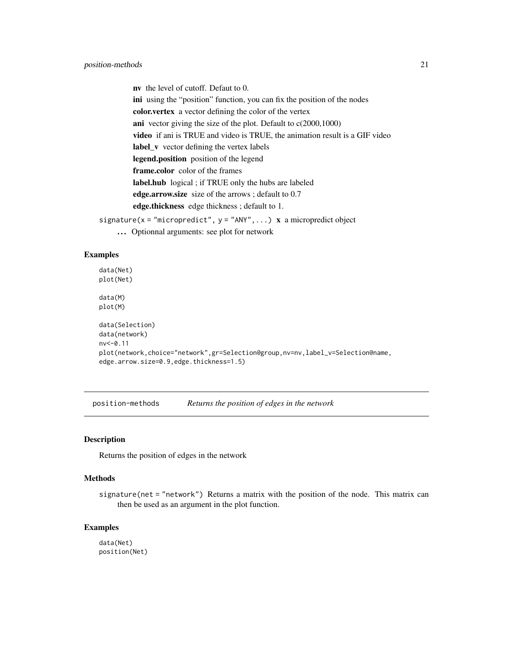<span id="page-20-0"></span>nv the level of cutoff. Defaut to 0. ini using the "position" function, you can fix the position of the nodes color.vertex a vector defining the color of the vertex ani vector giving the size of the plot. Default to c(2000,1000) video if ani is TRUE and video is TRUE, the animation result is a GIF video label\_v vector defining the vertex labels legend.position position of the legend frame.color color of the frames label.hub logical ; if TRUE only the hubs are labeled edge.arrow.size size of the arrows ; default to 0.7 edge.thickness edge thickness ; default to 1.

- signature( $x =$ "micropredict",  $y =$ "ANY",...)  $x$  a micropredict object
	- ... Optionnal arguments: see plot for network

#### Examples

```
data(Net)
plot(Net)
data(M)
plot(M)
data(Selection)
data(network)
nv<-0.11
plot(network,choice="network",gr=Selection@group,nv=nv,label_v=Selection@name,
edge.arrow.size=0.9,edge.thickness=1.5)
```
position-methods *Returns the position of edges in the network*

#### Description

Returns the position of edges in the network

#### **Methods**

signature(net = "network") Returns a matrix with the position of the node. This matrix can then be used as an argument in the plot function.

#### Examples

data(Net) position(Net)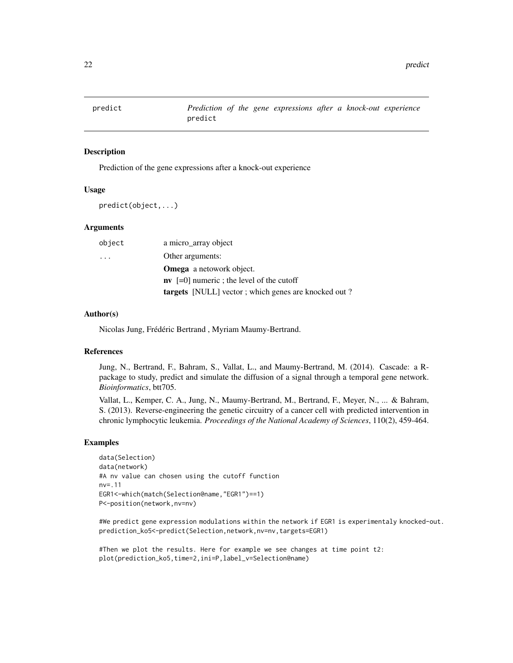<span id="page-21-0"></span>

#### Description

Prediction of the gene expressions after a knock-out experience

#### Usage

predict(object,...)

#### **Arguments**

| object                  | a micro_array object                                       |
|-------------------------|------------------------------------------------------------|
| $\cdot$ $\cdot$ $\cdot$ | Other arguments:                                           |
|                         | <b>Omega</b> a netowork object.                            |
|                         | $\bf{nv}$ [=0] numeric ; the level of the cutoff           |
|                         | <b>targets</b> [NULL] vector; which genes are knocked out? |

#### Author(s)

Nicolas Jung, Frédéric Bertrand , Myriam Maumy-Bertrand.

#### References

Jung, N., Bertrand, F., Bahram, S., Vallat, L., and Maumy-Bertrand, M. (2014). Cascade: a Rpackage to study, predict and simulate the diffusion of a signal through a temporal gene network. *Bioinformatics*, btt705.

Vallat, L., Kemper, C. A., Jung, N., Maumy-Bertrand, M., Bertrand, F., Meyer, N., ... & Bahram, S. (2013). Reverse-engineering the genetic circuitry of a cancer cell with predicted intervention in chronic lymphocytic leukemia. *Proceedings of the National Academy of Sciences*, 110(2), 459-464.

#### Examples

```
data(Selection)
data(network)
#A nv value can chosen using the cutoff function
nv=.11
EGR1<-which(match(Selection@name,"EGR1")==1)
P<-position(network,nv=nv)
```
#We predict gene expression modulations within the network if EGR1 is experimentaly knocked-out. prediction\_ko5<-predict(Selection,network,nv=nv,targets=EGR1)

#Then we plot the results. Here for example we see changes at time point t2: plot(prediction\_ko5,time=2,ini=P,label\_v=Selection@name)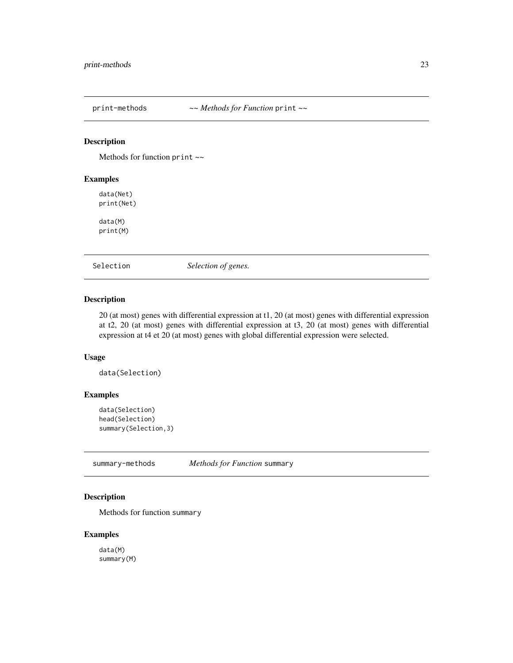<span id="page-22-0"></span>

#### Description

Methods for function print  $\sim$ 

#### Examples

data(Net) print(Net) data(M) print(M)

Selection *Selection of genes.*

#### Description

20 (at most) genes with differential expression at t1, 20 (at most) genes with differential expression at t2, 20 (at most) genes with differential expression at t3, 20 (at most) genes with differential expression at t4 et 20 (at most) genes with global differential expression were selected.

#### Usage

data(Selection)

#### Examples

```
data(Selection)
head(Selection)
summary(Selection,3)
```
summary-methods *Methods for Function* summary

#### Description

Methods for function summary

#### Examples

data(M) summary(M)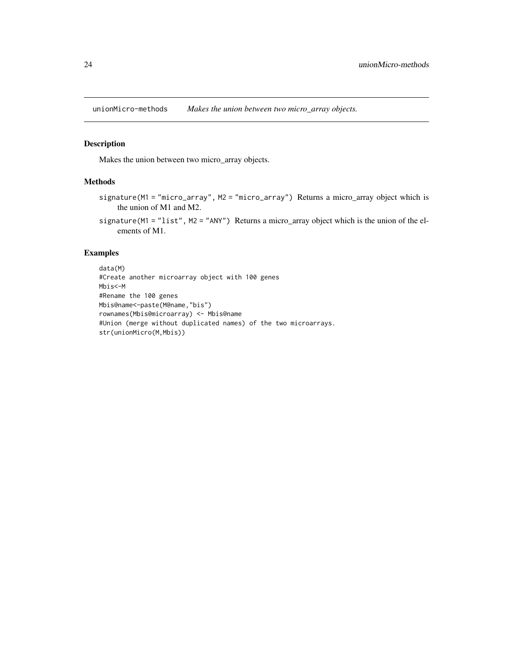<span id="page-23-0"></span>unionMicro-methods *Makes the union between two micro\_array objects.*

#### Description

Makes the union between two micro\_array objects.

#### Methods

- signature(M1 = "micro\_array", M2 = "micro\_array") Returns a micro\_array object which is the union of M1 and M2.
- signature(M1 = "list", M2 = "ANY") Returns a micro\_array object which is the union of the elements of M1.

#### Examples

data(M) #Create another microarray object with 100 genes Mbis<-M #Rename the 100 genes Mbis@name<-paste(M@name,"bis") rownames(Mbis@microarray) <- Mbis@name #Union (merge without duplicated names) of the two microarrays. str(unionMicro(M,Mbis))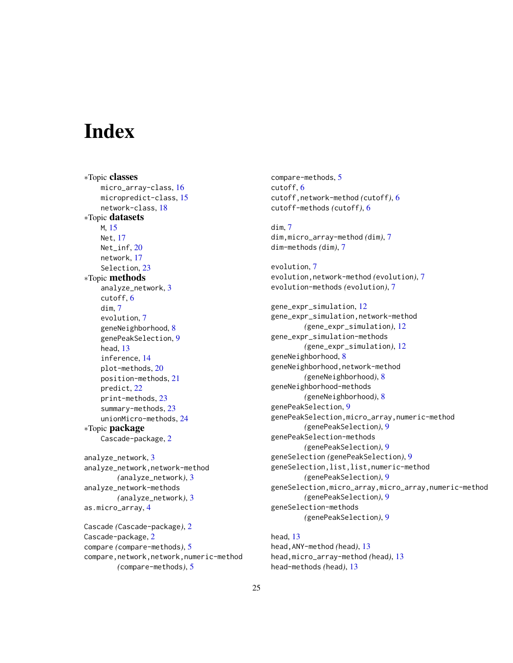# <span id="page-24-0"></span>**Index**

∗Topic classes micro\_array-class, [16](#page-15-0) micropredict-class, [15](#page-14-0) network-class, [18](#page-17-0) ∗Topic datasets M, [15](#page-14-0) Net, [17](#page-16-0) Net\_inf, [20](#page-19-0) network, [17](#page-16-0) Selection, [23](#page-22-0) ∗Topic methods analyze\_network, [3](#page-2-0) cutoff, [6](#page-5-0) dim, [7](#page-6-0) evolution, [7](#page-6-0) geneNeighborhood, [8](#page-7-0) genePeakSelection, [9](#page-8-0) head, [13](#page-12-0) inference, [14](#page-13-0) plot-methods, [20](#page-19-0) position-methods, [21](#page-20-0) predict, [22](#page-21-0) print-methods, [23](#page-22-0) summary-methods, [23](#page-22-0) unionMicro-methods, [24](#page-23-0) ∗Topic package Cascade-package, [2](#page-1-0) analyze\_network, [3](#page-2-0) analyze\_network,network-method *(*analyze\_network*)*, [3](#page-2-0) analyze\_network-methods *(*analyze\_network*)*, [3](#page-2-0)

```
Cascade (Cascade-package), 2
Cascade-package, 2
compare (compare-methods), 5
compare,network,network,numeric-method
        (compare-methods), 5
```
as.micro\_array, [4](#page-3-0)

compare-methods, [5](#page-4-0) cutoff, [6](#page-5-0) cutoff,network-method *(*cutoff*)*, [6](#page-5-0) cutoff-methods *(*cutoff*)*, [6](#page-5-0) dim, [7](#page-6-0) dim,micro\_array-method *(*dim*)*, [7](#page-6-0) dim-methods *(*dim*)*, [7](#page-6-0) evolution, [7](#page-6-0) evolution,network-method *(*evolution*)*, [7](#page-6-0) evolution-methods *(*evolution*)*, [7](#page-6-0) gene\_expr\_simulation, [12](#page-11-0) gene\_expr\_simulation,network-method *(*gene\_expr\_simulation*)*, [12](#page-11-0) gene\_expr\_simulation-methods *(*gene\_expr\_simulation*)*, [12](#page-11-0) geneNeighborhood, [8](#page-7-0) geneNeighborhood,network-method *(*geneNeighborhood*)*, [8](#page-7-0) geneNeighborhood-methods *(*geneNeighborhood*)*, [8](#page-7-0) genePeakSelection, [9](#page-8-0) genePeakSelection,micro\_array,numeric-method *(*genePeakSelection*)*, [9](#page-8-0) genePeakSelection-methods *(*genePeakSelection*)*, [9](#page-8-0) geneSelection *(*genePeakSelection*)*, [9](#page-8-0) geneSelection,list,list,numeric-method *(*genePeakSelection*)*, [9](#page-8-0) geneSelection,micro\_array,micro\_array,numeric-method *(*genePeakSelection*)*, [9](#page-8-0) geneSelection-methods *(*genePeakSelection*)*, [9](#page-8-0)

head, [13](#page-12-0) head,ANY-method *(*head*)*, [13](#page-12-0) head,micro\_array-method *(*head*)*, [13](#page-12-0) head-methods *(*head*)*, [13](#page-12-0)